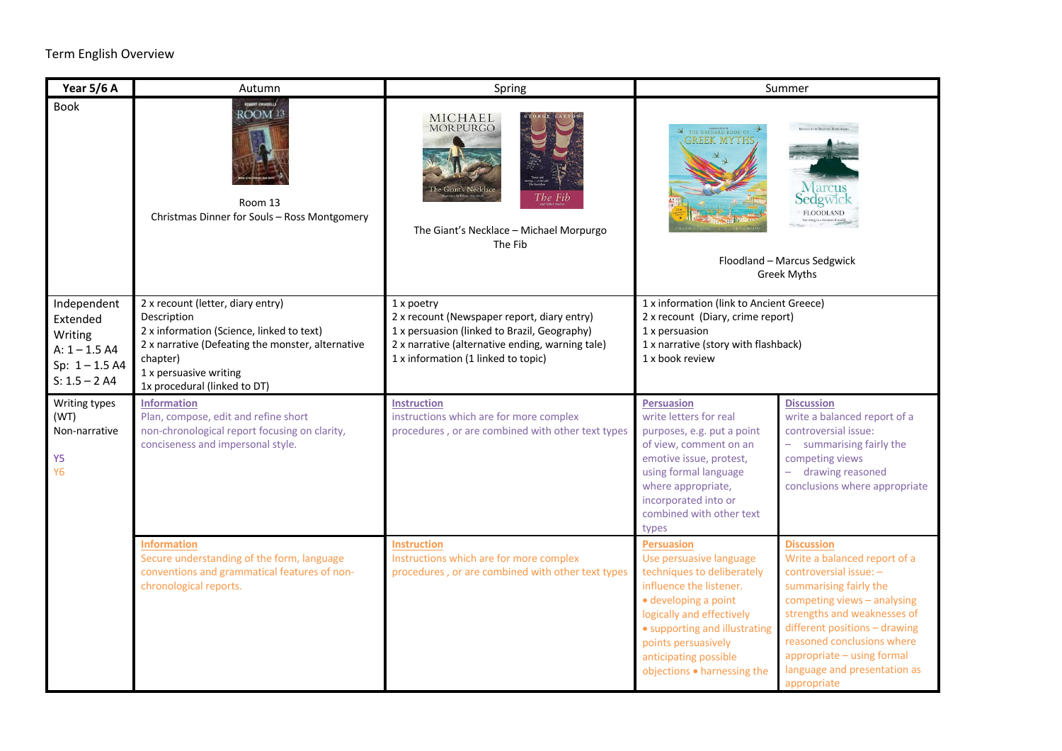## Term English Overview

| Year 5/6 A                                                                                   | Autumn                                                                                                                                                                                                                   | Spring                                                                                                                                                                                               | Summer                                                                                                                                                                                                                                                                                                                                                                                                                                                                                                                                                                                        |  |  |
|----------------------------------------------------------------------------------------------|--------------------------------------------------------------------------------------------------------------------------------------------------------------------------------------------------------------------------|------------------------------------------------------------------------------------------------------------------------------------------------------------------------------------------------------|-----------------------------------------------------------------------------------------------------------------------------------------------------------------------------------------------------------------------------------------------------------------------------------------------------------------------------------------------------------------------------------------------------------------------------------------------------------------------------------------------------------------------------------------------------------------------------------------------|--|--|
| Book                                                                                         | <b>ROBERT SWINDELLS</b><br>ROOM <sup>13</sup><br>Room 13<br>Christmas Dinner for Souls - Ross Montgomery                                                                                                                 | MICHAEL<br><b>MORPURGO</b><br>The Fib<br>The Giant's Necklace - Michael Morpurgo<br>The Fib                                                                                                          | THE ORCHARD BOOK OF<br><b>GREEK MYTHS</b><br>Sedgwic<br><b>FLOODLAND</b><br>Floodland - Marcus Sedgwick<br><b>Greek Myths</b>                                                                                                                                                                                                                                                                                                                                                                                                                                                                 |  |  |
| Independent<br>Extended<br>Writing<br>$A: 1 - 1.5 A4$<br>Sp: $1 - 1.5$ A4<br>$S: 1.5 - 2 A4$ | 2 x recount (letter, diary entry)<br>Description<br>2 x information (Science, linked to text)<br>2 x narrative (Defeating the monster, alternative<br>chapter)<br>1 x persuasive writing<br>1x procedural (linked to DT) | 1 x poetry<br>2 x recount (Newspaper report, diary entry)<br>1 x persuasion (linked to Brazil, Geography)<br>2 x narrative (alternative ending, warning tale)<br>1 x information (1 linked to topic) | 1 x information (link to Ancient Greece)<br>2 x recount (Diary, crime report)<br>1 x persuasion<br>1 x narrative (story with flashback)<br>1 x book review                                                                                                                                                                                                                                                                                                                                                                                                                                    |  |  |
| Writing types<br>(WT)<br>Non-narrative<br>Y <sub>5</sub><br>Y <sub>6</sub>                   | <b>Information</b><br>Plan, compose, edit and refine short<br>non-chronological report focusing on clarity,<br>conciseness and impersonal style.                                                                         | <b>Instruction</b><br>instructions which are for more complex<br>procedures, or are combined with other text types                                                                                   | <b>Persuasion</b><br><b>Discussion</b><br>write letters for real<br>write a balanced report of a<br>controversial issue:<br>purposes, e.g. put a point<br>of view, comment on an<br>summarising fairly the<br>competing views<br>emotive issue, protest,<br>- drawing reasoned<br>using formal language<br>where appropriate,<br>conclusions where appropriate<br>incorporated into or<br>combined with other text<br>types                                                                                                                                                                   |  |  |
|                                                                                              | <b>Information</b><br>Secure understanding of the form, language<br>conventions and grammatical features of non-<br>chronological reports.                                                                               | <b>Instruction</b><br>Instructions which are for more complex<br>procedures, or are combined with other text types                                                                                   | <b>Persuasion</b><br><b>Discussion</b><br>Use persuasive language<br>Write a balanced report of a<br>techniques to deliberately<br>controversial issue: -<br>influence the listener.<br>summarising fairly the<br>competing views - analysing<br>· developing a point<br>strengths and weaknesses of<br>logically and effectively<br>different positions - drawing<br>• supporting and illustrating<br>reasoned conclusions where<br>points persuasively<br>appropriate - using formal<br>anticipating possible<br>language and presentation as<br>objections . harnessing the<br>appropriate |  |  |